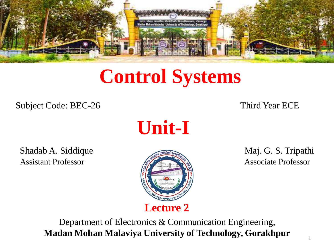

# **Control Systems**

Subject Code: BEC-26 Third Year ECE

**Unit-I**

Shadab A. Siddique **Maj. G. S. Tripathi** Assistant Professor **Associate Professor** Associate Professor



Department of Electronics & Communication Engineering, **Madan Mohan Malaviya University of Technology, Gorakhpur**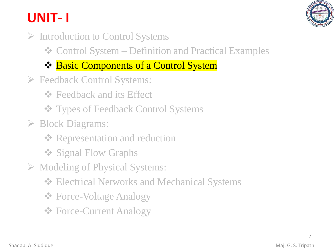# **UNIT- I**

- ➢ Introduction to Control Systems
	- ❖ Control System Definition and Practical Examples
	- ❖ Basic Components of a Control System
- ➢ Feedback Control Systems:
	- **❖** Feedback and its Effect
	- ❖ Types of Feedback Control Systems
- ➢ Block Diagrams:
	- **❖ Representation and reduction**
	- ❖ Signal Flow Graphs
- ➢ Modeling of Physical Systems:
	- ❖ Electrical Networks and Mechanical Systems
	- ❖ Force-Voltage Analogy
	- ❖ Force-Current Analogy

 $\mathcal{L}$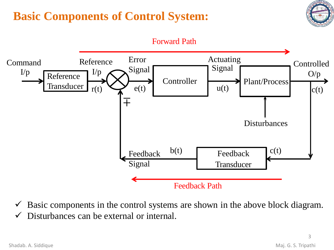## **Basic Components of Control System:**





 $\checkmark$  Basic components in the control systems are shown in the above block diagram.

 $\checkmark$  Disturbances can be external or internal.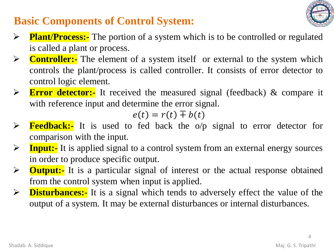### **Basic Components of Control System:**

- ➢ **Plant/Process:-** The portion of a system which is to be controlled or regulated is called a plant or process.
- ➢ **Controller:-** The element of a system itself or external to the system which controls the plant/process is called controller. It consists of error detector to control logic element.
- ➢ **Error detector:-** It received the measured signal (feedback) & compare it with reference input and determine the error signal.

$$
e(t)=r(t)\mp b(t)
$$

- ➢ **Feedback:-** It is used to fed back the o/p signal to error detector for comparison with the input.
- ➢ **Input:-** It is applied signal to a control system from an external energy sources in order to produce specific output.
- ➢ **Output:-** It is a particular signal of interest or the actual response obtained from the control system when input is applied.
- ➢ **Disturbances:-** It is a signal which tends to adversely effect the value of the output of a system. It may be external disturbances or internal disturbances.

4

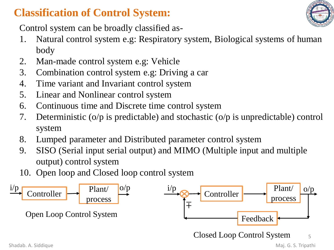#### **Classification of Control System:**



Control system can be broadly classified as-

- 1. Natural control system e.g: Respiratory system, Biological systems of human body
- 2. Man-made control system e.g: Vehicle
- 3. Combination control system e.g: Driving a car
- 4. Time variant and Invariant control system
- 5. Linear and Nonlinear control system
- 6. Continuous time and Discrete time control system
- 7. Deterministic (o/p is predictable) and stochastic (o/p is unpredictable) control system
- 8. Lumped parameter and Distributed parameter control system
- 9. SISO (Serial input serial output) and MIMO (Multiple input and multiple output) control system
- 10. Open loop and Closed loop control system

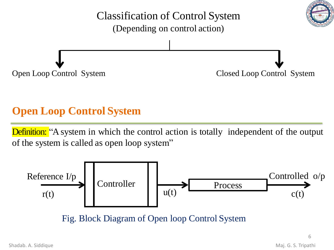

#### **Open Loop Control System**

**Definition:** "A system in which the control action is totally independent of the output of the system is called as open loop system"



6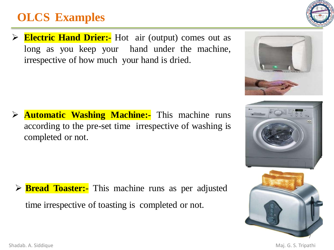### **OLCS Examples**

➢ **Electric Hand Drier:-** Hot air (output) comes out as long as you keep your hand under the machine, irrespective of how much your hand is dried.

➢ **Automatic Washing Machine:-** This machine runs according to the pre-set time irrespective of washing is completed or not.

**Bread Toaster:-** This machine runs as per adjusted time irrespective of toasting is completed or not.









Shadab. A. Siddique **Maj. G. S. Tripathi** 

7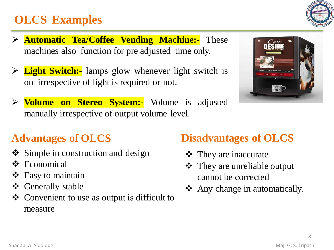### **OLCS Examples**

- ➢ **Automatic Tea/Coffee Vending Machine:-** These machines also function for pre adjusted time only.
- ➢ **Light Switch:-** lamps glow whenever light switch is on irrespective of light is required or not.
- ➢ **Volume on Stereo System:-** Volume is adjusted manually irrespective of output volume level.



### **Advantages of OLCS**

- ❖ Simple in construction and design
- ❖ Economical
- ❖ Easy to maintain
- ❖ Generally stable
- ❖ Convenient to use as output is difficult to measure

#### **Disadvantages of OLCS**

- ❖ They are inaccurate
- ❖ They are unreliable output cannot be corrected
- ❖ Any change in automatically.

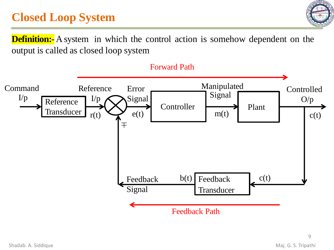### **Closed Loop System**



**Definition:** A system in which the control action is somehow dependent on the output is called as closed loop system

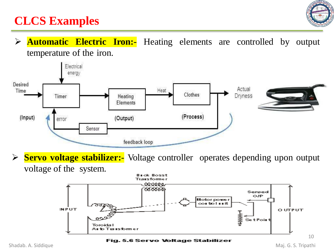

#### **CLCS Examples**

#### ➢ **Automatic Electric Iron:-** Heating elements are controlled by output temperature of the iron.



➢ **Servo voltage stabilizer:-** Voltage controller operates depending upon output voltage of the system.



Fig. 5.6 Servo Voltage Stabilizer

Shadab. A. Siddique **Maj. G. S. Tripathi**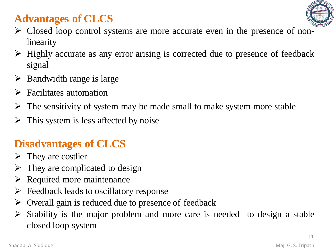#### **Advantages of CLCS**



- ➢ Closed loop control systems are more accurate even in the presence of nonlinearity
- ➢ Highly accurate as any error arising is corrected due to presence of feedback signal
- $\triangleright$  Bandwidth range is large
- $\triangleright$  Facilitates automation
- $\triangleright$  The sensitivity of system may be made small to make system more stable
- $\triangleright$  This system is less affected by noise

#### **Disadvantages of CLCS**

- $\triangleright$  They are costlier
- $\triangleright$  They are complicated to design
- ➢ Required more maintenance
- $\triangleright$  Feedback leads to oscillatory response
- ➢ Overall gain is reduced due to presence of feedback
- $\triangleright$  Stability is the major problem and more care is needed to design a stable closed loop system